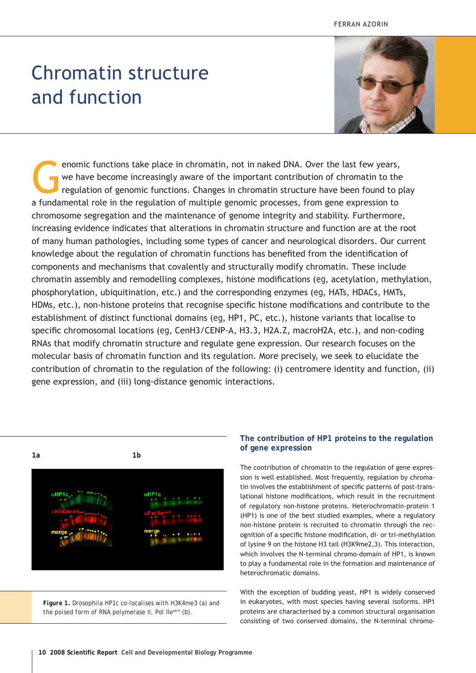# Chromatin structure and function



enomic functions take place in chromatin, not in naked DNA. Over the last few years,<br>we have become increasingly aware of the important contribution of chromatin to the<br>regulation of genomic functions. Changes in chromatin we have become increasingly aware of the important contribution of chromatin to the regulation of genomic functions. Changes in chromatin structure have been found to play a fundamental role in the regulation of multiple genomic processes, from gene expression to chromosome segregation and the maintenance of genome integrity and stability. Furthermore, increasing evidence indicates that alterations in chromatin structure and function are at the root of many human pathologies, including some types of cancer and neurological disorders. Our current knowledge about the regulation of chromatin functions has benefited from the identification of components and mechanisms that covalently and structurally modify chromatin. These include chromatin assembly and remodelling complexes, histone modifications (*eg*, acetylation, methylation, phosphorylation, ubiquitination, etc.) and the corresponding enzymes (*eg*, HATs, HDACs, HMTs, HDMs, etc.), non-histone proteins that recognise specific histone modifications and contribute to the establishment of distinct functional domains (*eg*, HP1, PC, etc.), histone variants that localise to specific chromosomal locations (*eg*, CenH3/CENP-A, H3.3, H2A.Z, macroH2A, etc.), and non-coding RNAs that modify chromatin structure and regulate gene expression. Our research focuses on the molecular basis of chromatin function and its regulation. More precisely, we seek to elucidate the contribution of chromatin to the regulation of the following: (i) centromere identity and function, (ii) gene expression, and (iii) long-distance genomic interactions.



*Figure 1. Drosophila HP1c co-localises with H3K4me3 (a) and the poised form of RNA polymerase II, Pol IIoser5 (b).*

# **The contribution of HP1 proteins to the regulation of gene expression**

The contribution of chromatin to the regulation of gene expression is well established. Most frequently, regulation by chromatin involves the establishment of specific patterns of post-translational histone modifications, which result in the recruitment of regulatory non-histone proteins. Heterochromatin-protein 1 (HP1) is one of the best studied examples, where a regulatory non-histone protein is recruited to chromatin through the recognition of a specific histone modification, di- or tri-methylation of lysine 9 on the histone H3 tail (H3K9me2,3). This interaction, which involves the N-terminal chromo-domain of HP1, is known to play a fundamental role in the formation and maintenance of heterochromatic domains.

With the exception of budding yeast, HP1 is widely conserved in eukaryotes, with most species having several isoforms. HP1 proteins are characterised by a common structural organisation consisting of two conserved domains, the N-terminal chromo-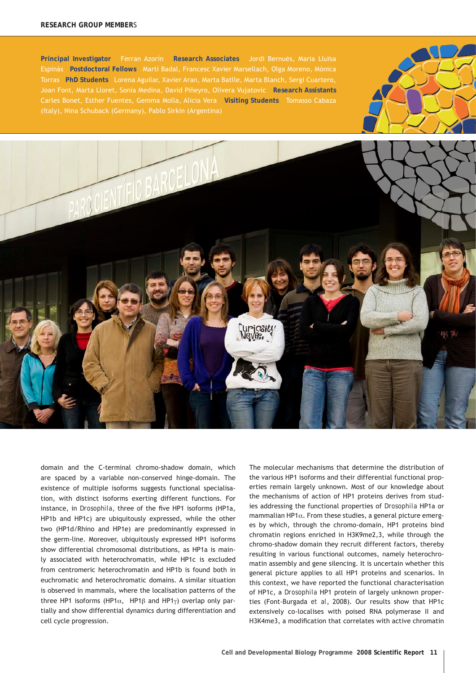#### **RESEARCH GROUP MEMBER**S

**Principal Investigator** Ferran Azorín **Research Associates** Jordi Bernués, Maria Lluïsa Espinàs **Postdoctoral Fellows** Martí Badal, Francesc Xavier Marsellach, Olga Moreno, Mònica Torras **PhD Students** Lorena Aguilar, Xavier Aran, Marta Batlle, Marta Blanch, Sergi Cuartero, Joan Font, Marta Lloret, Sonia Medina, David Piñeyro, Olivera Vujatovic **Research Assistants**  Carles Bonet, Esther Fuentes, Gemma Molla, Alicia Vera **Visiting Students** Tomasso Cabaza





domain and the C-terminal chromo-shadow domain, which are spaced by a variable non-conserved hinge-domain. The existence of multiple isoforms suggests functional specialisation, with distinct isoforms exerting different functions. For instance, in *Drosophila*, three of the five HP1 isoforms (HP1a, HP1b and HP1c) are ubiquitously expressed, while the other two (HP1d/Rhino and HP1e) are predominantly expressed in the germ-line. Moreover, ubiquitously expressed HP1 isoforms show differential chromosomal distributions, as HP1a is mainly associated with heterochromatin, while HP1c is excluded from centromeric heterochromatin and HP1b is found both in euchromatic and heterochromatic domains. A similar situation is observed in mammals, where the localisation patterns of the three HP1 isoforms (HP1α, HP1β and HP1γ) overlap only partially and show differential dynamics during differentiation and cell cycle progression.

The molecular mechanisms that determine the distribution of the various HP1 isoforms and their differential functional properties remain largely unknown. Most of our knowledge about the mechanisms of action of HP1 proteins derives from studies addressing the functional properties of *Drosophila* HP1a or mammalian HP1 $\alpha$ . From these studies, a general picture emerges by which, through the chromo-domain, HP1 proteins bind chromatin regions enriched in H3K9me2,3, while through the chromo-shadow domain they recruit different factors, thereby resulting in various functional outcomes, namely heterochromatin assembly and gene silencing. It is uncertain whether this general picture applies to all HP1 proteins and scenarios. In this context, we have reported the functional characterisation of HP1c, a *Drosophila* HP1 protein of largely unknown properties (Font-Burgada *et al*, 2008). Our results show that HP1c extensively co-localises with poised RNA polymerase II and H3K4me3, a modification that correlates with active chromatin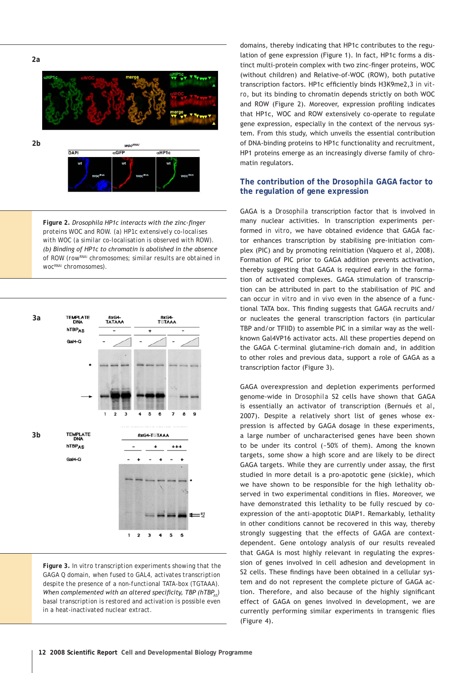**2a**



*Figure 2. Drosophila HP1c interacts with the zinc-finger proteins WOC and ROW. (a) HP1c extensively co-localises with WOC (a similar co-localisation is observed with ROW). (b) Binding of HP1c to chromatin is abolished in the absence of ROW (rowRNAi chromosomes; similar results are obtained in wocRNAi chromosomes).*



*Figure 3. In vitro transcription experiments showing that the GAGA Q domain, when fused to GAL4, activates transcription despite the presence of a non-functional TATA-box (TGTAAA). When complemented with an altered specificity, TBP (hTBP<sub><i>AS*</sub></sub>) *basal transcription is restored and activation is possible even in a heat-inactivated nuclear extract.*

domains, thereby indicating that HP1c contributes to the regulation of gene expression (Figure 1). In fact, HP1c forms a distinct multi-protein complex with two zinc-finger proteins, WOC (without children) and Relative-of-WOC (ROW), both putative transcription factors. HP1c efficiently binds H3K9me2,3 *in vitro*, but its binding to chromatin depends strictly on both WOC and ROW (Figure 2). Moreover, expression profiling indicates that HP1c, WOC and ROW extensively co-operate to regulate gene expression, especially in the context of the nervous system. From this study, which unveils the essential contribution of DNA-binding proteins to HP1c functionality and recruitment, HP1 proteins emerge as an increasingly diverse family of chromatin regulators.

# **The contribution of the** *Drosophila* **GAGA factor to the regulation of gene expression**

GAGA is a *Drosophila* transcription factor that is involved in many nuclear activities. In transcription experiments performed *in vitro*, we have obtained evidence that GAGA factor enhances transcription by stabilising pre-initiation complex (PIC) and by promoting reinitiation (Vaquero *et al*, 2008). Formation of PIC prior to GAGA addition prevents activation, thereby suggesting that GAGA is required early in the formation of activated complexes. GAGA stimulation of transcription can be attributed in part to the stabilisation of PIC and can occur *in vitro* and *in vivo* even in the absence of a functional TATA box. This finding suggests that GAGA recruits and/ or nucleates the general transcription factors (in particular TBP and/or TFIID) to assemble PIC in a similar way as the wellknown Gal4VP16 activator acts. All these properties depend on the GAGA C-terminal glutamine-rich domain and, in addition to other roles and previous data, support a role of GAGA as a transcription factor (Figure 3).

GAGA overexpression and depletion experiments performed genome-wide in *Drosophila* S2 cells have shown that GAGA is essentially an activator of transcription (Bernués *et al*, 2007). Despite a relatively short list of genes whose expression is affected by GAGA dosage in these experiments, a large number of uncharacterised genes have been shown to be under its control (~50% of them). Among the known targets, some show a high score and are likely to be direct GAGA targets. While they are currently under assay, the first studied in more detail is a pro-apototic gene (sickle), which we have shown to be responsible for the high lethality observed in two experimental conditions in flies. Moreover, we have demonstrated this lethality to be fully rescued by coexpression of the anti-apoptotic DIAP1. Remarkably, lethality in other conditions cannot be recovered in this way, thereby strongly suggesting that the effects of GAGA are contextdependent. Gene ontology analysis of our results revealed that GAGA is most highly relevant in regulating the expression of genes involved in cell adhesion and development in S2 cells. These findings have been obtained in a cellular system and do not represent the complete picture of GAGA action. Therefore, and also because of the highly significant effect of GAGA on genes involved in development, we are currently performing similar experiments in transgenic flies (Figure 4).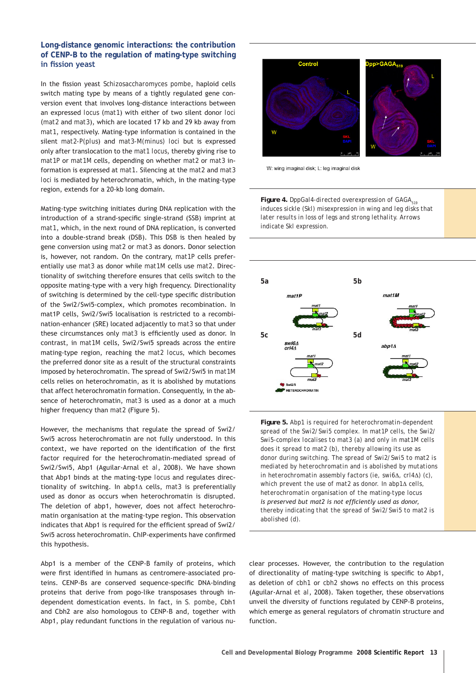## **Long-distance genomic interactions: the contribution of CENP-B to the regulation of mating-type switching in fission yeast**

In the fission yeast *Schizosaccharomyces pombe*, haploid cells switch mating type by means of a tightly regulated gene conversion event that involves long-distance interactions between an expressed *locus* (*mat1*) with either of two silent donor *loci* (*mat2* and *mat3*), which are located 17 kb and 29 kb away from *mat1*, respectively. Mating-type information is contained in the silent *mat2-P(plus*) and *mat3-M(minus) loci* but is expressed only after translocation to the *mat1 locus*, thereby giving rise to *mat1P* or *mat1M* cells, depending on whether *mat2* or *mat3* information is expressed at *mat1*. Silencing at the *mat2* and *mat3 loci* is mediated by heterochromatin, which, in the mating-type region, extends for a 20-kb long domain.

Mating-type switching initiates during DNA replication with the introduction of a strand-specific single-strand (SSB) imprint at *mat1*, which, in the next round of DNA replication, is converted into a double-strand break (DSB). This DSB is then healed by gene conversion using *mat2* or *mat3* as donors. Donor selection is, however, not random. On the contrary, *mat1P* cells preferentially use *mat3* as donor while *mat1M* cells use *mat2*. Directionality of switching therefore ensures that cells switch to the opposite mating-type with a very high frequency. Directionality of switching is determined by the cell-type specific distribution of the Swi2/Swi5-complex, which promotes recombination. In mat1P cells, Swi2/Swi5 localisation is restricted to a recombination-enhancer (SRE) located adjacently to *mat3* so that under these circumstances only *mat3* is efficiently used as donor. In contrast, in *mat1M* cells, Swi2/Swi5 spreads across the entire mating-type region, reaching the *mat2 locus*, which becomes the preferred donor site as a result of the structural constraints imposed by heterochromatin. The spread of Swi2/Swi5 in *mat1M* cells relies on heterochromatin, as it is abolished by mutations that affect heterochromatin formation. Consequently, in the absence of heterochromatin, *mat3* is used as a donor at a much higher frequency than *mat2* (Figure 5).

However, the mechanisms that regulate the spread of Swi2/ Swi5 across heterochromatin are not fully understood. In this context, we have reported on the identification of the first factor required for the heterochromatin-mediated spread of Swi2/Swi5, Abp1 (Aguilar-Arnal *et al*, 2008). We have shown that Abp1 binds at the mating-type *locus* and regulates directionality of switching. In abp1Δ cells, *mat3* is preferentially used as donor as occurs when heterochromatin is disrupted. The deletion of abp1, however, does not affect heterochromatin organisation at the mating-type region. This observation indicates that Abp1 is required for the efficient spread of Swi2/ Swi5 across heterochromatin. ChIP-experiments have confirmed this hypothesis.

Abp1 is a member of the CENP-B family of proteins, which were first identified in humans as centromere-associated proteins. CENP-Bs are conserved sequence-specific DNA-binding proteins that derive from pogo-like transposases through independent domestication events. In fact, in *S. pombe*, Cbh1 and Cbh2 are also homologous to CENP-B and, together with Abp1, play redundant functions in the regulation of various nu-



W: wing imaginal disk; L: leg imaginal disk

*Figure 4. DppGal4-directed overexpression of GAGA<sub>519</sub> induces sickle (Skl) misexpression in wing and leg disks that later results in loss of legs and strong lethality. Arrows indicate Skl expression.*



*Figure 5. Abp1 is required for heterochromatin-dependent spread of the Swi2/Swi5 complex. In mat1P cells, the Swi2/ Swi5-complex localises to mat3 (a) and only in mat1M cells does it spread to mat2 (b), thereby allowing its use as donor during switching. The spread of Swi2/Swi5 to mat2 is mediated by heterochromatin and is abolished by mutations in heterochromatin assembly factors (ie, swi6*Δ*, crl4*Δ*) (c), which prevent the use of mat2 as donor. In abp1*Δ *cells, heterochromatin organisation of the mating-type locus is preserved but mat2 is not efficiently used as donor, thereby indicating that the spread of Swi2/Swi5 to mat2 is abolished (d).*

clear processes. However, the contribution to the regulation of directionality of mating-type switching is specific to Abp1, as deletion of *cbh1* or *cbh2* shows no effects on this process (Aguilar-Arnal *et al*, 2008). Taken together, these observations unveil the diversity of functions regulated by CENP-B proteins, which emerge as general regulators of chromatin structure and function.